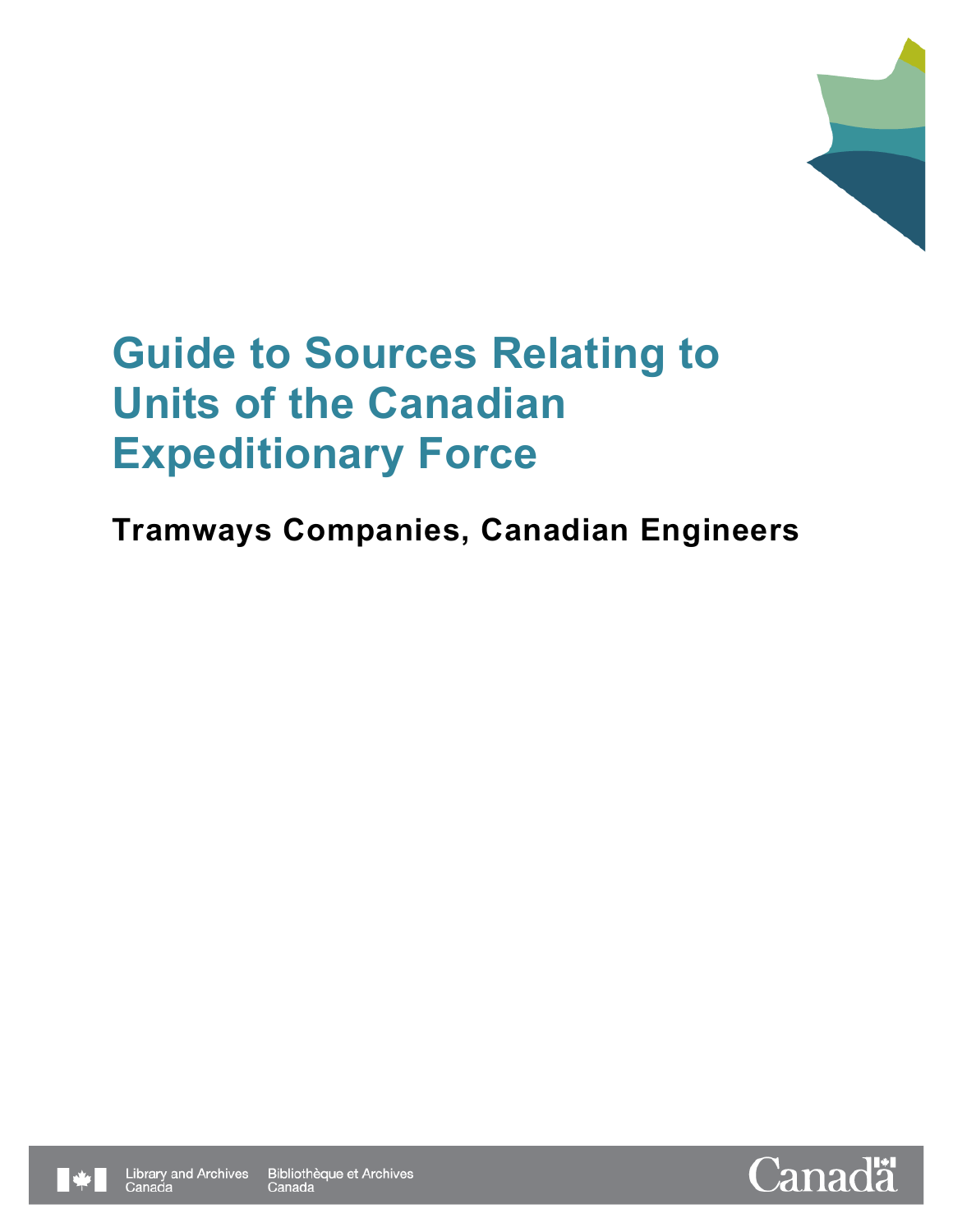

## **Tramways Companies, Canadian Engineers**





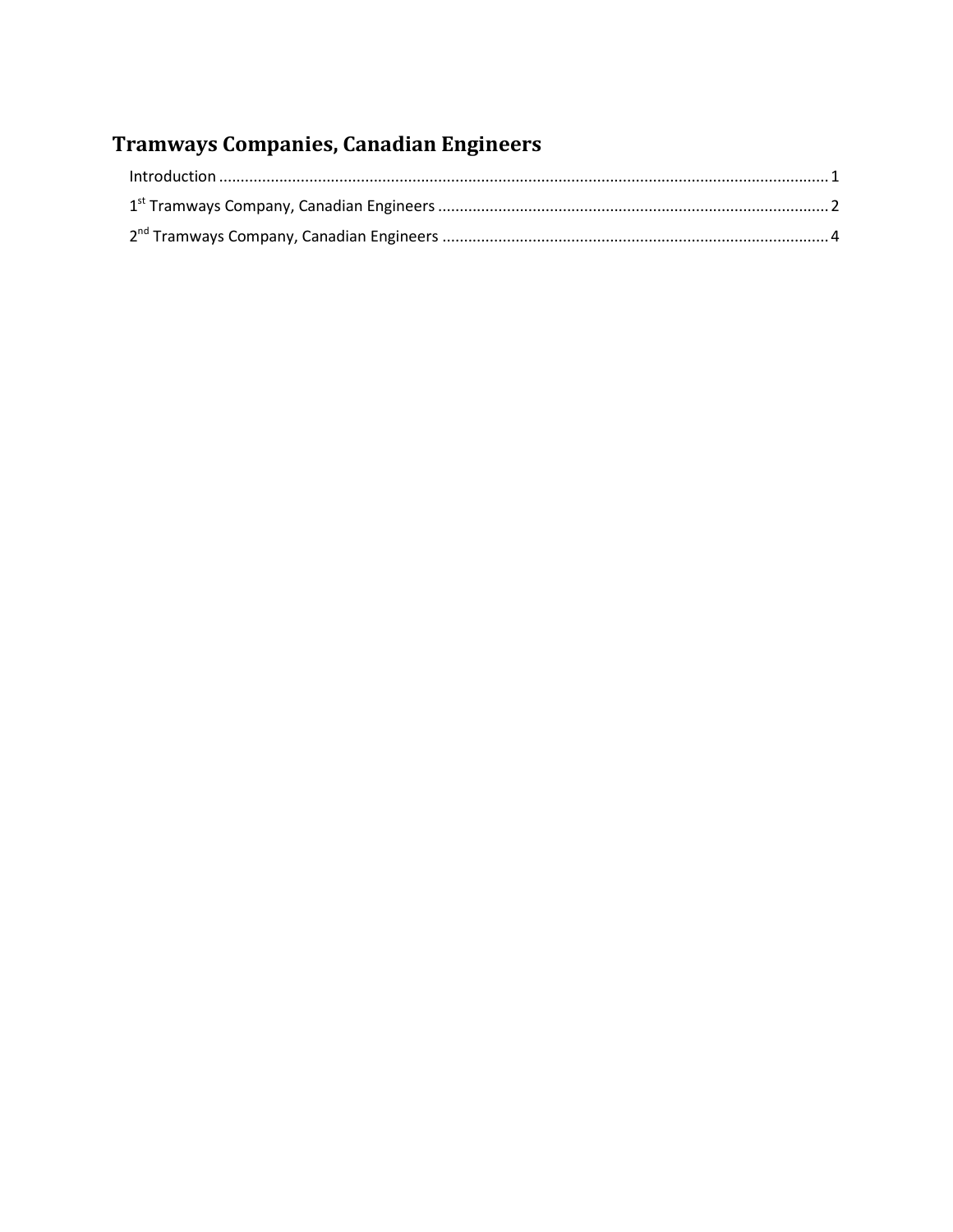## Tramways Companies, Canadian Engineers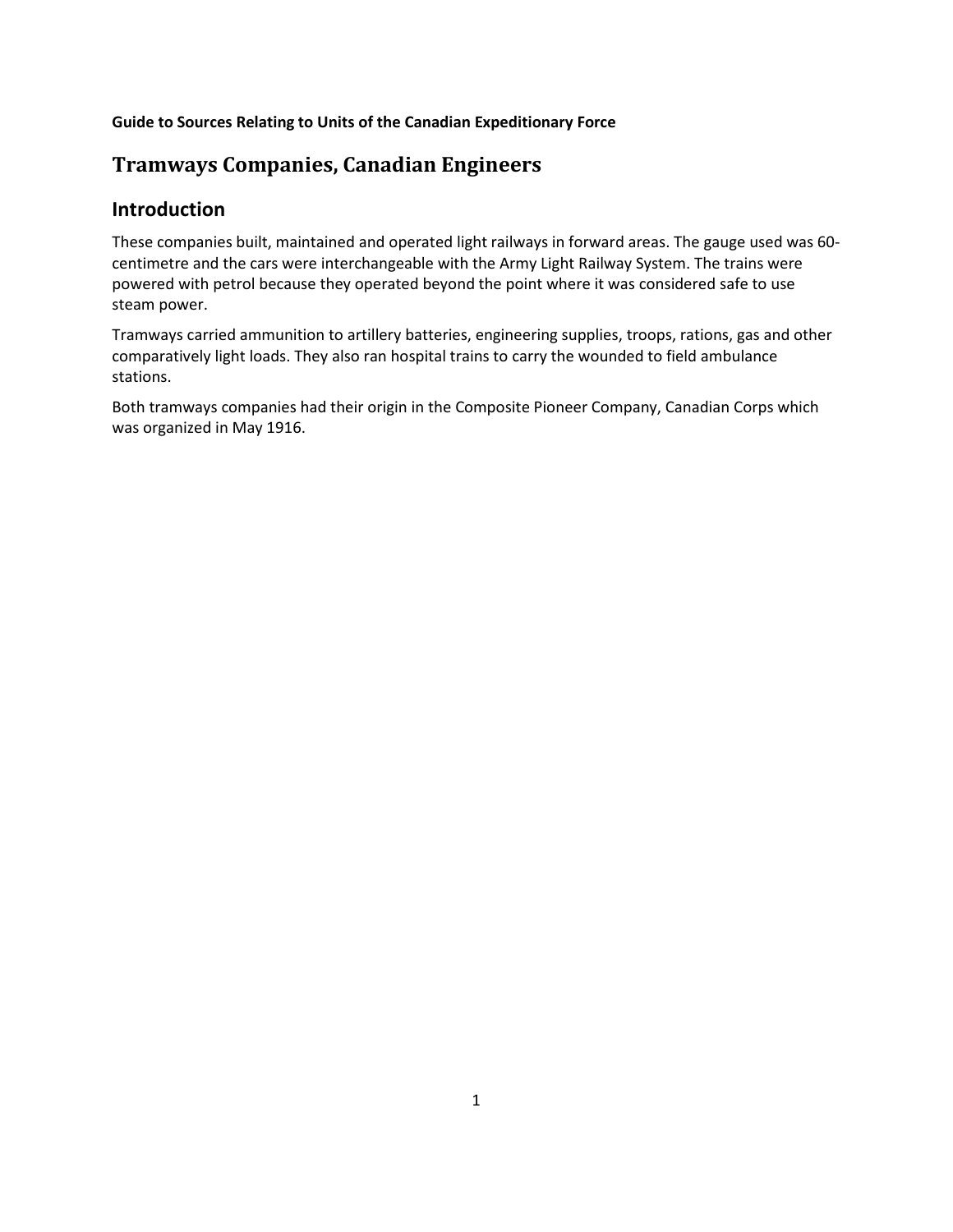## **Tramways Companies, Canadian Engineers**

### <span id="page-2-0"></span>**Introduction**

These companies built, maintained and operated light railways in forward areas. The gauge used was 60 centimetre and the cars were interchangeable with the Army Light Railway System. The trains were powered with petrol because they operated beyond the point where it was considered safe to use steam power.

Tramways carried ammunition to artillery batteries, engineering supplies, troops, rations, gas and other comparatively light loads. They also ran hospital trains to carry the wounded to field ambulance stations.

Both tramways companies had their origin in the Composite Pioneer Company, Canadian Corps which was organized in May 1916.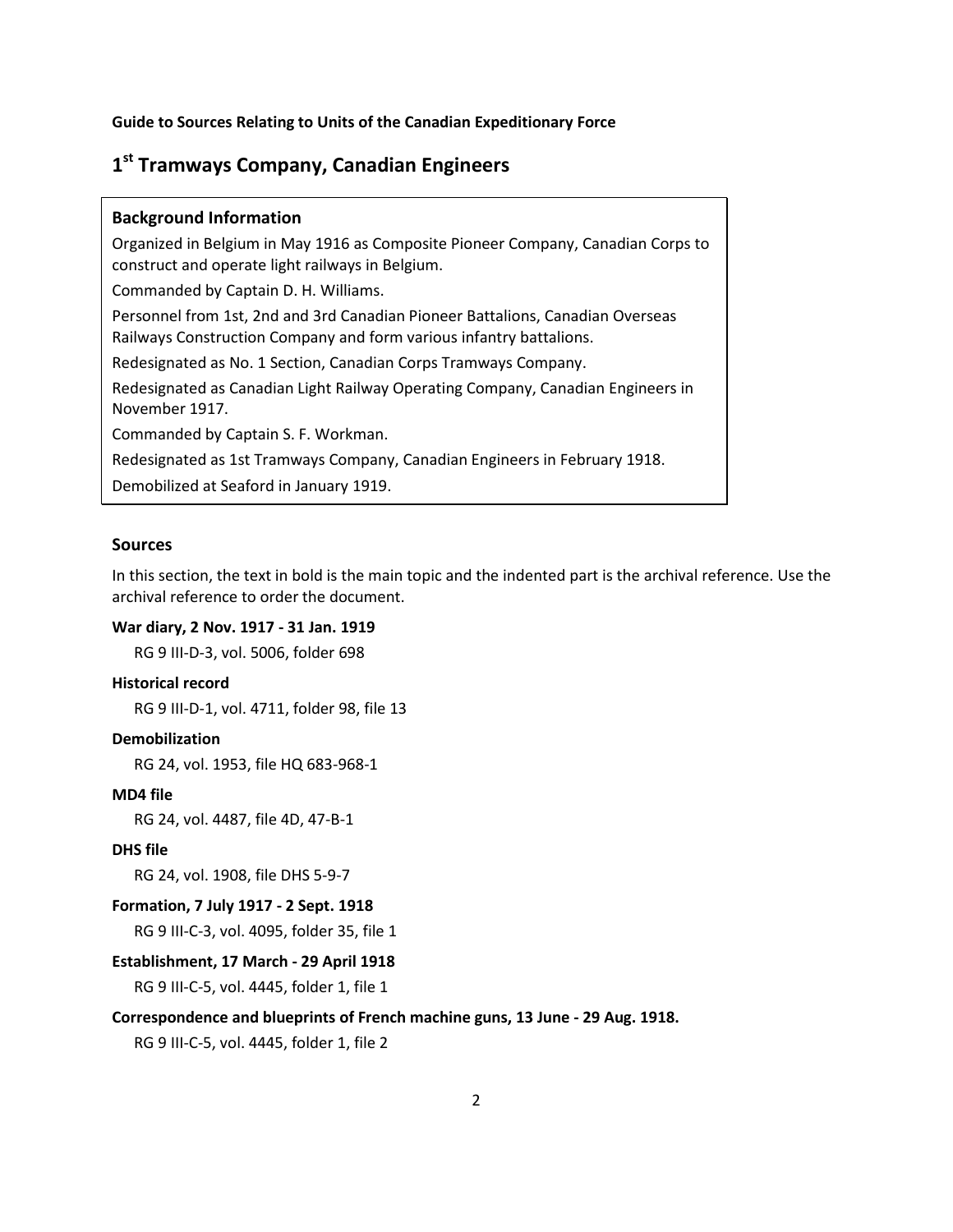### <span id="page-3-0"></span>**1st Tramways Company, Canadian Engineers**

#### **Background Information**

Organized in Belgium in May 1916 as Composite Pioneer Company, Canadian Corps to construct and operate light railways in Belgium.

Commanded by Captain D. H. Williams.

Personnel from 1st, 2nd and 3rd Canadian Pioneer Battalions, Canadian Overseas Railways Construction Company and form various infantry battalions.

Redesignated as No. 1 Section, Canadian Corps Tramways Company.

Redesignated as Canadian Light Railway Operating Company, Canadian Engineers in November 1917.

Commanded by Captain S. F. Workman.

Redesignated as 1st Tramways Company, Canadian Engineers in February 1918.

Demobilized at Seaford in January 1919.

#### **Sources**

In this section, the text in bold is the main topic and the indented part is the archival reference. Use the archival reference to order the document.

#### **War diary, 2 Nov. 1917 - 31 Jan. 1919**

RG 9 III-D-3, vol. 5006, folder 698

#### **Historical record**

RG 9 III-D-1, vol. 4711, folder 98, file 13

#### **Demobilization**

RG 24, vol. 1953, file HQ 683-968-1

#### **MD4 file**

RG 24, vol. 4487, file 4D, 47-B-1

#### **DHS file**

RG 24, vol. 1908, file DHS 5-9-7

#### **Formation, 7 July 1917 - 2 Sept. 1918**

RG 9 III-C-3, vol. 4095, folder 35, file 1

#### **Establishment, 17 March - 29 April 1918**

RG 9 III-C-5, vol. 4445, folder 1, file 1

#### **Correspondence and blueprints of French machine guns, 13 June - 29 Aug. 1918.**

RG 9 III-C-5, vol. 4445, folder 1, file 2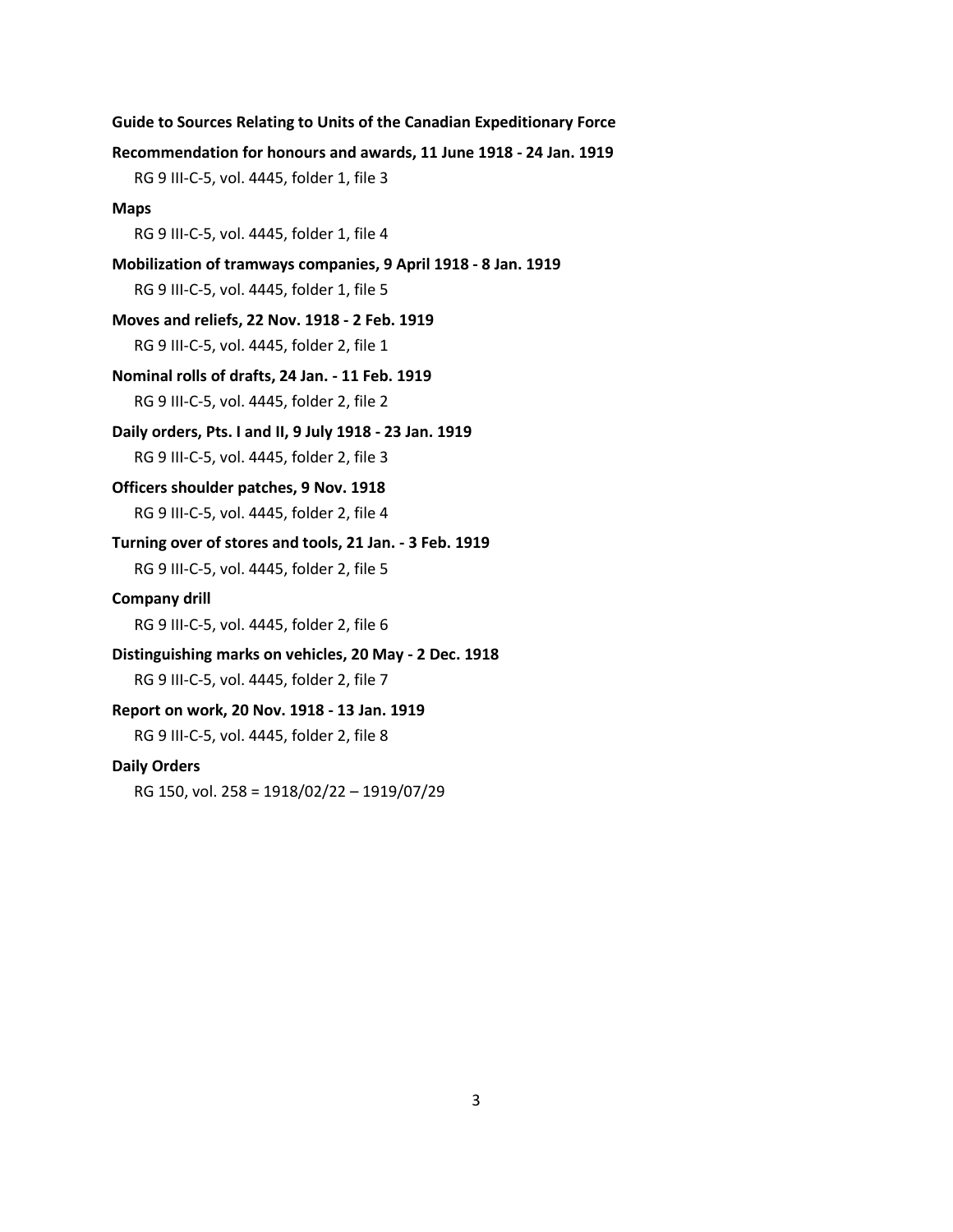**Guide to Sources Relating to Units of the Canadian Expeditionary Force Recommendation for honours and awards, 11 June 1918 - 24 Jan. 1919** RG 9 III-C-5, vol. 4445, folder 1, file 3 **Maps** RG 9 III-C-5, vol. 4445, folder 1, file 4 **Mobilization of tramways companies, 9 April 1918 - 8 Jan. 1919** RG 9 III-C-5, vol. 4445, folder 1, file 5 **Moves and reliefs, 22 Nov. 1918 - 2 Feb. 1919** RG 9 III-C-5, vol. 4445, folder 2, file 1 **Nominal rolls of drafts, 24 Jan. - 11 Feb. 1919** RG 9 III-C-5, vol. 4445, folder 2, file 2 **Daily orders, Pts. I and II, 9 July 1918 - 23 Jan. 1919** RG 9 III-C-5, vol. 4445, folder 2, file 3 **Officers shoulder patches, 9 Nov. 1918**  RG 9 III-C-5, vol. 4445, folder 2, file 4 **Turning over of stores and tools, 21 Jan. - 3 Feb. 1919** RG 9 III-C-5, vol. 4445, folder 2, file 5 **Company drill** RG 9 III-C-5, vol. 4445, folder 2, file 6 **Distinguishing marks on vehicles, 20 May - 2 Dec. 1918** RG 9 III-C-5, vol. 4445, folder 2, file 7 **Report on work, 20 Nov. 1918 - 13 Jan. 1919** RG 9 III-C-5, vol. 4445, folder 2, file 8 **Daily Orders** RG 150, vol. 258 = 1918/02/22 – 1919/07/29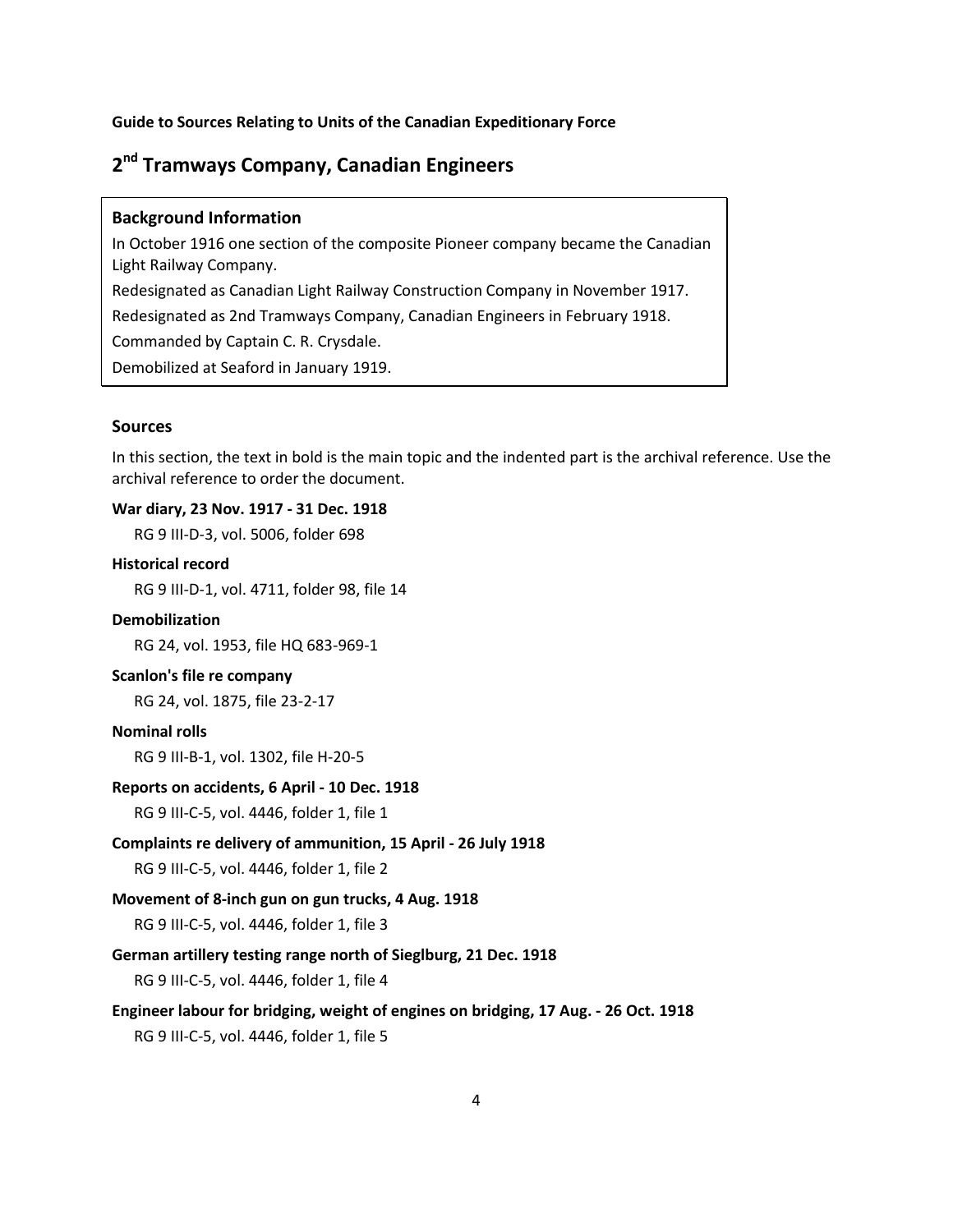## <span id="page-5-0"></span>**2nd Tramways Company, Canadian Engineers**

#### **Background Information**

In October 1916 one section of the composite Pioneer company became the Canadian Light Railway Company.

Redesignated as Canadian Light Railway Construction Company in November 1917.

Redesignated as 2nd Tramways Company, Canadian Engineers in February 1918.

Commanded by Captain C. R. Crysdale.

Demobilized at Seaford in January 1919.

#### **Sources**

In this section, the text in bold is the main topic and the indented part is the archival reference. Use the archival reference to order the document.

#### **War diary, 23 Nov. 1917 - 31 Dec. 1918**

RG 9 III-D-3, vol. 5006, folder 698

#### **Historical record**

RG 9 III-D-1, vol. 4711, folder 98, file 14

#### **Demobilization**

RG 24, vol. 1953, file HQ 683-969-1

#### **Scanlon's file re company**

RG 24, vol. 1875, file 23-2-17

#### **Nominal rolls**

RG 9 III-B-1, vol. 1302, file H-20-5

#### **Reports on accidents, 6 April - 10 Dec. 1918**

RG 9 III-C-5, vol. 4446, folder 1, file 1

**Complaints re delivery of ammunition, 15 April - 26 July 1918**

RG 9 III-C-5, vol. 4446, folder 1, file 2

#### **Movement of 8-inch gun on gun trucks, 4 Aug. 1918**

RG 9 III-C-5, vol. 4446, folder 1, file 3

#### **German artillery testing range north of Sieglburg, 21 Dec. 1918**

RG 9 III-C-5, vol. 4446, folder 1, file 4

**Engineer labour for bridging, weight of engines on bridging, 17 Aug. - 26 Oct. 1918**

RG 9 III-C-5, vol. 4446, folder 1, file 5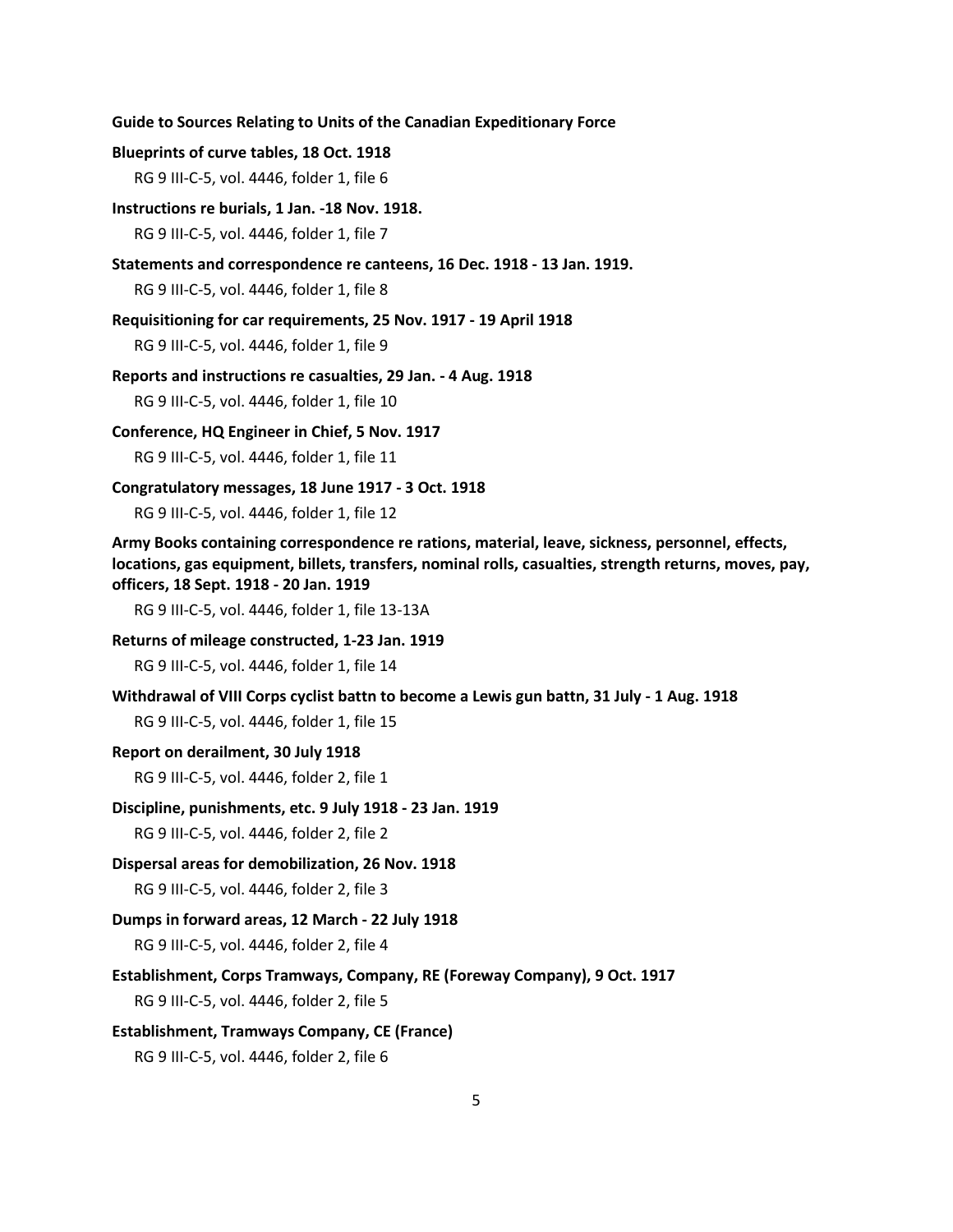#### **Blueprints of curve tables, 18 Oct. 1918**

RG 9 III-C-5, vol. 4446, folder 1, file 6

**Instructions re burials, 1 Jan. -18 Nov. 1918.**

RG 9 III-C-5, vol. 4446, folder 1, file 7

#### **Statements and correspondence re canteens, 16 Dec. 1918 - 13 Jan. 1919.**

RG 9 III-C-5, vol. 4446, folder 1, file 8

**Requisitioning for car requirements, 25 Nov. 1917 - 19 April 1918** RG 9 III-C-5, vol. 4446, folder 1, file 9

**Reports and instructions re casualties, 29 Jan. - 4 Aug. 1918** RG 9 III-C-5, vol. 4446, folder 1, file 10

**Conference, HQ Engineer in Chief, 5 Nov. 1917**

RG 9 III-C-5, vol. 4446, folder 1, file 11

**Congratulatory messages, 18 June 1917 - 3 Oct. 1918**

RG 9 III-C-5, vol. 4446, folder 1, file 12

**Army Books containing correspondence re rations, material, leave, sickness, personnel, effects, locations, gas equipment, billets, transfers, nominal rolls, casualties, strength returns, moves, pay, officers, 18 Sept. 1918 - 20 Jan. 1919**

RG 9 III-C-5, vol. 4446, folder 1, file 13-13A

**Returns of mileage constructed, 1-23 Jan. 1919**

RG 9 III-C-5, vol. 4446, folder 1, file 14

#### **Withdrawal of VIII Corps cyclist battn to become a Lewis gun battn, 31 July - 1 Aug. 1918**

RG 9 III-C-5, vol. 4446, folder 1, file 15

**Report on derailment, 30 July 1918**

RG 9 III-C-5, vol. 4446, folder 2, file 1

**Discipline, punishments, etc. 9 July 1918 - 23 Jan. 1919**

RG 9 III-C-5, vol. 4446, folder 2, file 2

**Dispersal areas for demobilization, 26 Nov. 1918**

RG 9 III-C-5, vol. 4446, folder 2, file 3

#### **Dumps in forward areas, 12 March - 22 July 1918**

RG 9 III-C-5, vol. 4446, folder 2, file 4

**Establishment, Corps Tramways, Company, RE (Foreway Company), 9 Oct. 1917**

RG 9 III-C-5, vol. 4446, folder 2, file 5

#### **Establishment, Tramways Company, CE (France)**

RG 9 III-C-5, vol. 4446, folder 2, file 6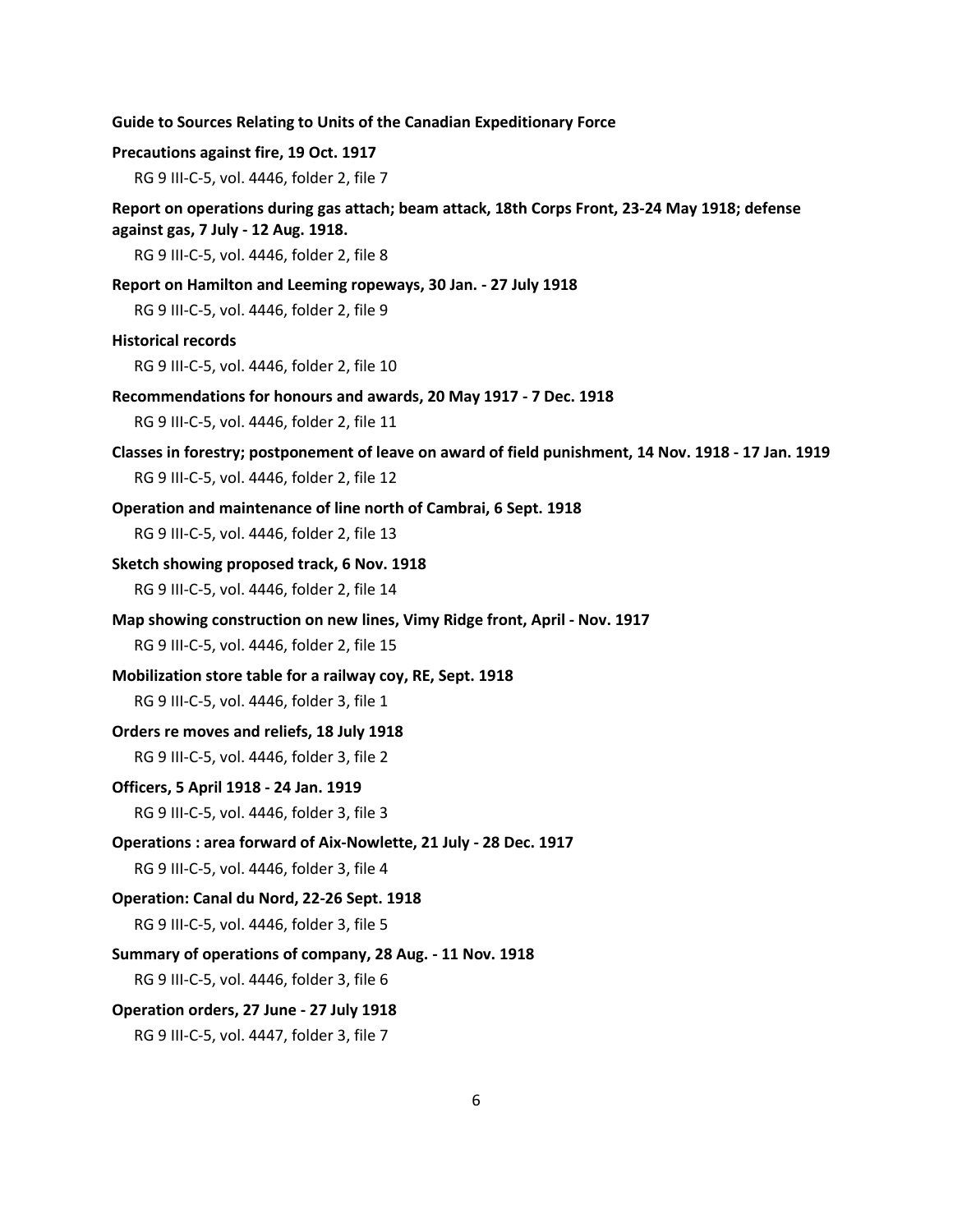| Guide to Sources Relating to Units of the Canadian Expeditionary Force |  |
|------------------------------------------------------------------------|--|
|------------------------------------------------------------------------|--|

#### **Precautions against fire, 19 Oct. 1917**

RG 9 III-C-5, vol. 4446, folder 2, file 7

#### **Report on operations during gas attach; beam attack, 18th Corps Front, 23-24 May 1918; defense against gas, 7 July - 12 Aug. 1918.**

RG 9 III-C-5, vol. 4446, folder 2, file 8

#### **Report on Hamilton and Leeming ropeways, 30 Jan. - 27 July 1918**

RG 9 III-C-5, vol. 4446, folder 2, file 9

#### **Historical records**

RG 9 III-C-5, vol. 4446, folder 2, file 10

**Recommendations for honours and awards, 20 May 1917 - 7 Dec. 1918**

RG 9 III-C-5, vol. 4446, folder 2, file 11

- **Classes in forestry; postponement of leave on award of field punishment, 14 Nov. 1918 17 Jan. 1919** RG 9 III-C-5, vol. 4446, folder 2, file 12
- **Operation and maintenance of line north of Cambrai, 6 Sept. 1918**

RG 9 III-C-5, vol. 4446, folder 2, file 13

#### **Sketch showing proposed track, 6 Nov. 1918**

RG 9 III-C-5, vol. 4446, folder 2, file 14

**Map showing construction on new lines, Vimy Ridge front, April - Nov. 1917**

RG 9 III-C-5, vol. 4446, folder 2, file 15

#### **Mobilization store table for a railway coy, RE, Sept. 1918**

RG 9 III-C-5, vol. 4446, folder 3, file 1

#### **Orders re moves and reliefs, 18 July 1918**

RG 9 III-C-5, vol. 4446, folder 3, file 2

#### **Officers, 5 April 1918 - 24 Jan. 1919**

RG 9 III-C-5, vol. 4446, folder 3, file 3

**Operations : area forward of Aix-Nowlette, 21 July - 28 Dec. 1917**

RG 9 III-C-5, vol. 4446, folder 3, file 4

#### **Operation: Canal du Nord, 22-26 Sept. 1918**

RG 9 III-C-5, vol. 4446, folder 3, file 5

#### **Summary of operations of company, 28 Aug. - 11 Nov. 1918**

RG 9 III-C-5, vol. 4446, folder 3, file 6

#### **Operation orders, 27 June - 27 July 1918**

RG 9 III-C-5, vol. 4447, folder 3, file 7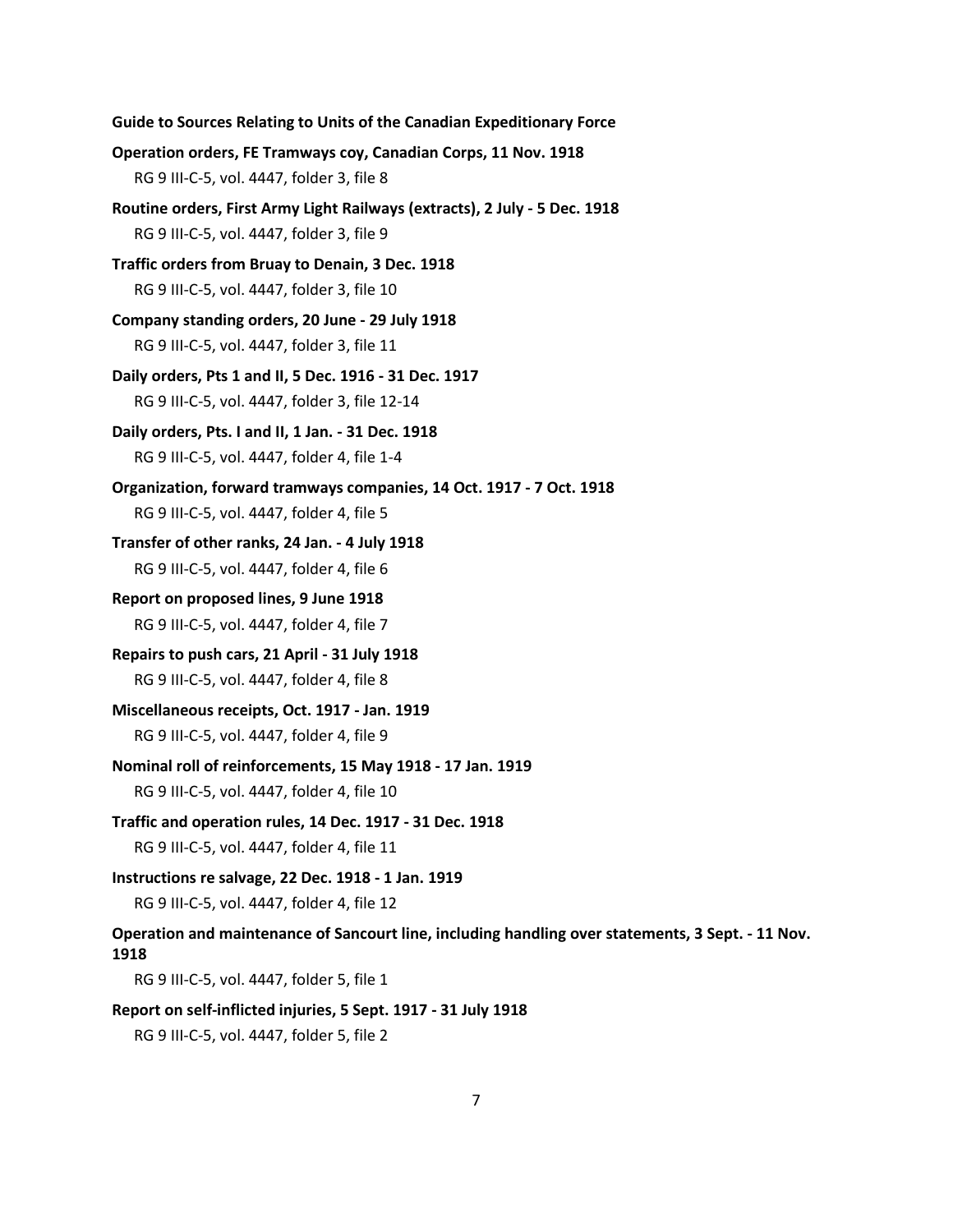**Guide to Sources Relating to Units of the Canadian Expeditionary Force Operation orders, FE Tramways coy, Canadian Corps, 11 Nov. 1918** RG 9 III-C-5, vol. 4447, folder 3, file 8 **Routine orders, First Army Light Railways (extracts), 2 July - 5 Dec. 1918** RG 9 III-C-5, vol. 4447, folder 3, file 9 **Traffic orders from Bruay to Denain, 3 Dec. 1918** RG 9 III-C-5, vol. 4447, folder 3, file 10 **Company standing orders, 20 June - 29 July 1918** RG 9 III-C-5, vol. 4447, folder 3, file 11 **Daily orders, Pts 1 and II, 5 Dec. 1916 - 31 Dec. 1917** RG 9 III-C-5, vol. 4447, folder 3, file 12-14 **Daily orders, Pts. I and II, 1 Jan. - 31 Dec. 1918** RG 9 III-C-5, vol. 4447, folder 4, file 1-4 **Organization, forward tramways companies, 14 Oct. 1917 - 7 Oct. 1918** RG 9 III-C-5, vol. 4447, folder 4, file 5 **Transfer of other ranks, 24 Jan. - 4 July 1918** RG 9 III-C-5, vol. 4447, folder 4, file 6 **Report on proposed lines, 9 June 1918** RG 9 III-C-5, vol. 4447, folder 4, file 7 **Repairs to push cars, 21 April - 31 July 1918** RG 9 III-C-5, vol. 4447, folder 4, file 8 **Miscellaneous receipts, Oct. 1917 - Jan. 1919** RG 9 III-C-5, vol. 4447, folder 4, file 9 **Nominal roll of reinforcements, 15 May 1918 - 17 Jan. 1919** RG 9 III-C-5, vol. 4447, folder 4, file 10 **Traffic and operation rules, 14 Dec. 1917 - 31 Dec. 1918** RG 9 III-C-5, vol. 4447, folder 4, file 11 **Instructions re salvage, 22 Dec. 1918 - 1 Jan. 1919** RG 9 III-C-5, vol. 4447, folder 4, file 12 **Operation and maintenance of Sancourt line, including handling over statements, 3 Sept. - 11 Nov. 1918** RG 9 III-C-5, vol. 4447, folder 5, file 1 **Report on self-inflicted injuries, 5 Sept. 1917 - 31 July 1918** RG 9 III-C-5, vol. 4447, folder 5, file 2